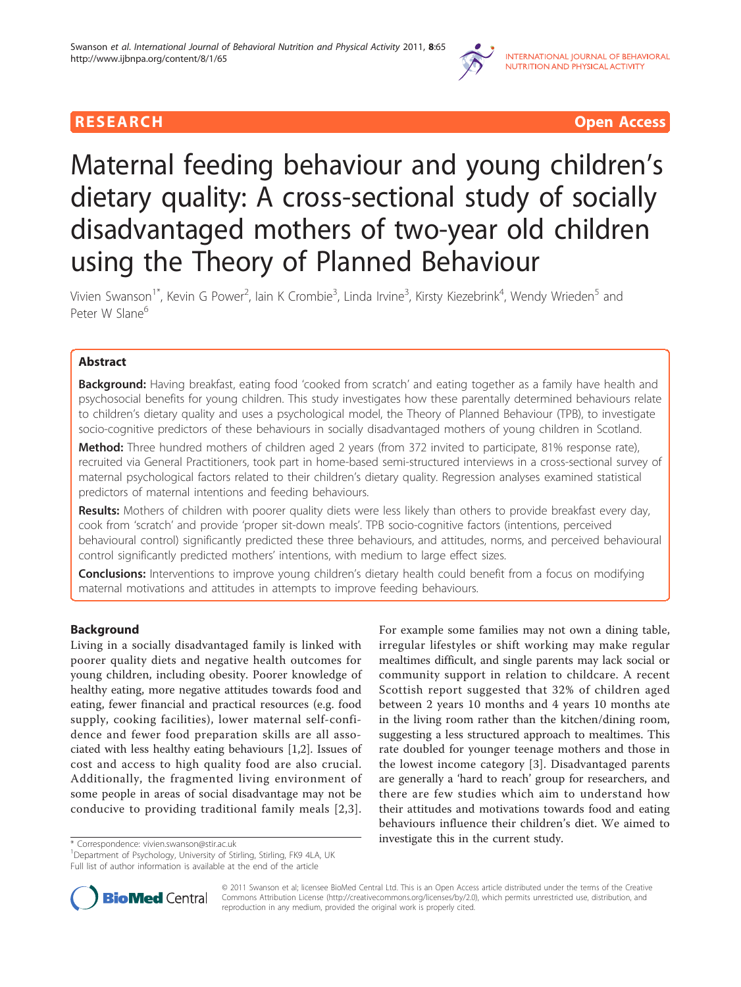

**RESEARCH Open Access** 

# Maternal feeding behaviour and young children's dietary quality: A cross-sectional study of socially disadvantaged mothers of two-year old children using the Theory of Planned Behaviour

Vivien Swanson<sup>1\*</sup>, Kevin G Power<sup>2</sup>, Iain K Crombie<sup>3</sup>, Linda Irvine<sup>3</sup>, Kirsty Kiezebrink<sup>4</sup>, Wendy Wrieden<sup>5</sup> and Peter W Slane<sup>6</sup>

# Abstract

Background: Having breakfast, eating food 'cooked from scratch' and eating together as a family have health and psychosocial benefits for young children. This study investigates how these parentally determined behaviours relate to children's dietary quality and uses a psychological model, the Theory of Planned Behaviour (TPB), to investigate socio-cognitive predictors of these behaviours in socially disadvantaged mothers of young children in Scotland.

Method: Three hundred mothers of children aged 2 years (from 372 invited to participate, 81% response rate), recruited via General Practitioners, took part in home-based semi-structured interviews in a cross-sectional survey of maternal psychological factors related to their children's dietary quality. Regression analyses examined statistical predictors of maternal intentions and feeding behaviours.

Results: Mothers of children with poorer quality diets were less likely than others to provide breakfast every day, cook from 'scratch' and provide 'proper sit-down meals'. TPB socio-cognitive factors (intentions, perceived behavioural control) significantly predicted these three behaviours, and attitudes, norms, and perceived behavioural control significantly predicted mothers' intentions, with medium to large effect sizes.

**Conclusions:** Interventions to improve young children's dietary health could benefit from a focus on modifying maternal motivations and attitudes in attempts to improve feeding behaviours.

# Background

Living in a socially disadvantaged family is linked with poorer quality diets and negative health outcomes for young children, including obesity. Poorer knowledge of healthy eating, more negative attitudes towards food and eating, fewer financial and practical resources (e.g. food supply, cooking facilities), lower maternal self-confidence and fewer food preparation skills are all associated with less healthy eating behaviours [\[1,2](#page-9-0)]. Issues of cost and access to high quality food are also crucial. Additionally, the fragmented living environment of some people in areas of social disadvantage may not be conducive to providing traditional family meals [[2](#page-9-0),[3\]](#page-9-0).

For example some families may not own a dining table, irregular lifestyles or shift working may make regular mealtimes difficult, and single parents may lack social or community support in relation to childcare. A recent Scottish report suggested that 32% of children aged between 2 years 10 months and 4 years 10 months ate in the living room rather than the kitchen/dining room, suggesting a less structured approach to mealtimes. This rate doubled for younger teenage mothers and those in the lowest income category [[3\]](#page-9-0). Disadvantaged parents are generally a 'hard to reach' group for researchers, and there are few studies which aim to understand how their attitudes and motivations towards food and eating behaviours influence their children's diet. We aimed to investigate this in the current study. \* Correspondence: [vivien.swanson@stir.ac.uk](mailto:vivien.swanson@stir.ac.uk)

<sup>1</sup>Department of Psychology, University of Stirling, Stirling, FK9 4LA, UK Full list of author information is available at the end of the article



© 2011 Swanson et al; licensee BioMed Central Ltd. This is an Open Access article distributed under the terms of the Creative Commons Attribution License [\(http://creativecommons.org/licenses/by/2.0](http://creativecommons.org/licenses/by/2.0)), which permits unrestricted use, distribution, and reproduction in any medium, provided the original work is properly cited.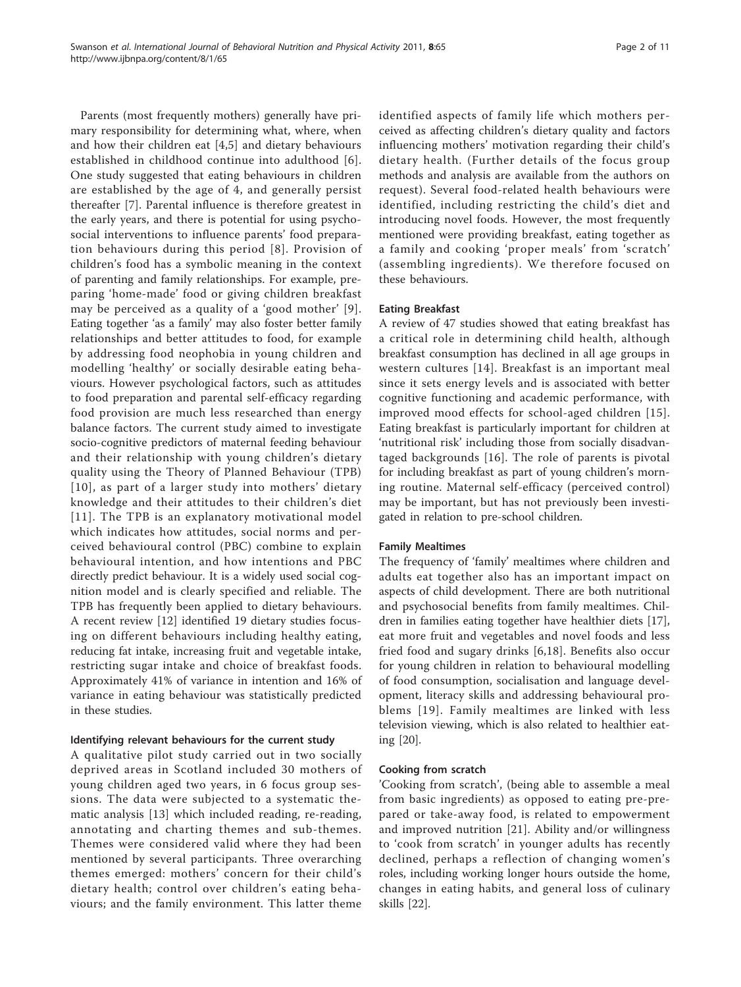Parents (most frequently mothers) generally have primary responsibility for determining what, where, when and how their children eat [[4,5](#page-9-0)] and dietary behaviours established in childhood continue into adulthood [[6\]](#page-9-0). One study suggested that eating behaviours in children are established by the age of 4, and generally persist thereafter [\[7](#page-9-0)]. Parental influence is therefore greatest in the early years, and there is potential for using psychosocial interventions to influence parents' food preparation behaviours during this period [[8](#page-9-0)]. Provision of children's food has a symbolic meaning in the context of parenting and family relationships. For example, preparing 'home-made' food or giving children breakfast may be perceived as a quality of a 'good mother' [[9\]](#page-9-0). Eating together 'as a family' may also foster better family relationships and better attitudes to food, for example by addressing food neophobia in young children and modelling 'healthy' or socially desirable eating behaviours. However psychological factors, such as attitudes to food preparation and parental self-efficacy regarding food provision are much less researched than energy balance factors. The current study aimed to investigate socio-cognitive predictors of maternal feeding behaviour and their relationship with young children's dietary quality using the Theory of Planned Behaviour (TPB) [[10](#page-9-0)], as part of a larger study into mothers' dietary knowledge and their attitudes to their children's diet [[11\]](#page-9-0). The TPB is an explanatory motivational model which indicates how attitudes, social norms and perceived behavioural control (PBC) combine to explain behavioural intention, and how intentions and PBC directly predict behaviour. It is a widely used social cognition model and is clearly specified and reliable. The TPB has frequently been applied to dietary behaviours. A recent review [[12](#page-9-0)] identified 19 dietary studies focusing on different behaviours including healthy eating, reducing fat intake, increasing fruit and vegetable intake, restricting sugar intake and choice of breakfast foods. Approximately 41% of variance in intention and 16% of variance in eating behaviour was statistically predicted in these studies.

# Identifying relevant behaviours for the current study

A qualitative pilot study carried out in two socially deprived areas in Scotland included 30 mothers of young children aged two years, in 6 focus group sessions. The data were subjected to a systematic thematic analysis [[13\]](#page-9-0) which included reading, re-reading, annotating and charting themes and sub-themes. Themes were considered valid where they had been mentioned by several participants. Three overarching themes emerged: mothers' concern for their child's dietary health; control over children's eating behaviours; and the family environment. This latter theme

identified aspects of family life which mothers perceived as affecting children's dietary quality and factors influencing mothers' motivation regarding their child's dietary health. (Further details of the focus group methods and analysis are available from the authors on request). Several food-related health behaviours were identified, including restricting the child's diet and introducing novel foods. However, the most frequently mentioned were providing breakfast, eating together as a family and cooking 'proper meals' from 'scratch' (assembling ingredients). We therefore focused on these behaviours.

# Eating Breakfast

A review of 47 studies showed that eating breakfast has a critical role in determining child health, although breakfast consumption has declined in all age groups in western cultures [[14](#page-9-0)]. Breakfast is an important meal since it sets energy levels and is associated with better cognitive functioning and academic performance, with improved mood effects for school-aged children [[15\]](#page-9-0). Eating breakfast is particularly important for children at 'nutritional risk' including those from socially disadvantaged backgrounds [\[16\]](#page-9-0). The role of parents is pivotal for including breakfast as part of young children's morning routine. Maternal self-efficacy (perceived control) may be important, but has not previously been investigated in relation to pre-school children.

# Family Mealtimes

The frequency of 'family' mealtimes where children and adults eat together also has an important impact on aspects of child development. There are both nutritional and psychosocial benefits from family mealtimes. Children in families eating together have healthier diets [[17](#page-9-0)], eat more fruit and vegetables and novel foods and less fried food and sugary drinks [[6,18\]](#page-9-0). Benefits also occur for young children in relation to behavioural modelling of food consumption, socialisation and language development, literacy skills and addressing behavioural problems [[19](#page-10-0)]. Family mealtimes are linked with less television viewing, which is also related to healthier eating [[20\]](#page-10-0).

# Cooking from scratch

'Cooking from scratch', (being able to assemble a meal from basic ingredients) as opposed to eating pre-prepared or take-away food, is related to empowerment and improved nutrition [[21\]](#page-10-0). Ability and/or willingness to 'cook from scratch' in younger adults has recently declined, perhaps a reflection of changing women's roles, including working longer hours outside the home, changes in eating habits, and general loss of culinary skills [\[22\]](#page-10-0).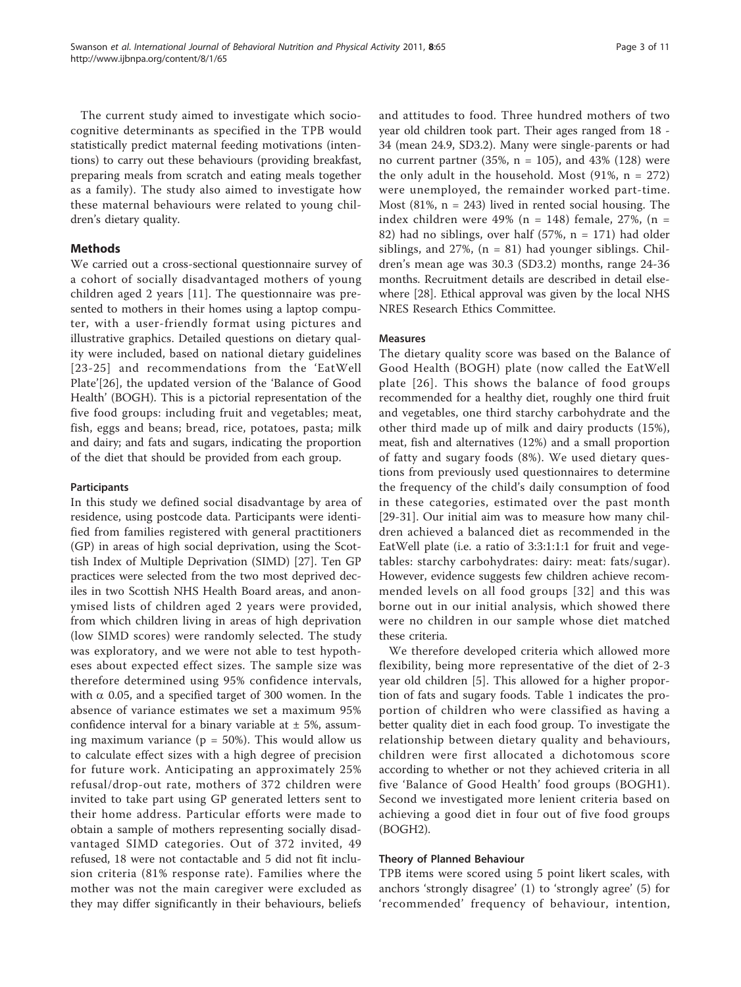The current study aimed to investigate which sociocognitive determinants as specified in the TPB would statistically predict maternal feeding motivations (intentions) to carry out these behaviours (providing breakfast, preparing meals from scratch and eating meals together as a family). The study also aimed to investigate how these maternal behaviours were related to young children's dietary quality.

# Methods

We carried out a cross-sectional questionnaire survey of a cohort of socially disadvantaged mothers of young children aged 2 years [\[11](#page-9-0)]. The questionnaire was presented to mothers in their homes using a laptop computer, with a user-friendly format using pictures and illustrative graphics. Detailed questions on dietary quality were included, based on national dietary guidelines [[23](#page-10-0)-[25\]](#page-10-0) and recommendations from the 'EatWell Plate'[[26\]](#page-10-0), the updated version of the 'Balance of Good Health' (BOGH). This is a pictorial representation of the five food groups: including fruit and vegetables; meat, fish, eggs and beans; bread, rice, potatoes, pasta; milk and dairy; and fats and sugars, indicating the proportion of the diet that should be provided from each group.

# Participants

In this study we defined social disadvantage by area of residence, using postcode data. Participants were identified from families registered with general practitioners (GP) in areas of high social deprivation, using the Scottish Index of Multiple Deprivation (SIMD) [[27\]](#page-10-0). Ten GP practices were selected from the two most deprived deciles in two Scottish NHS Health Board areas, and anonymised lists of children aged 2 years were provided, from which children living in areas of high deprivation (low SIMD scores) were randomly selected. The study was exploratory, and we were not able to test hypotheses about expected effect sizes. The sample size was therefore determined using 95% confidence intervals, with  $\alpha$  0.05, and a specified target of 300 women. In the absence of variance estimates we set a maximum 95% confidence interval for a binary variable at  $\pm$  5%, assuming maximum variance ( $p = 50\%$ ). This would allow us to calculate effect sizes with a high degree of precision for future work. Anticipating an approximately 25% refusal/drop-out rate, mothers of 372 children were invited to take part using GP generated letters sent to their home address. Particular efforts were made to obtain a sample of mothers representing socially disadvantaged SIMD categories. Out of 372 invited, 49 refused, 18 were not contactable and 5 did not fit inclusion criteria (81% response rate). Families where the mother was not the main caregiver were excluded as they may differ significantly in their behaviours, beliefs and attitudes to food. Three hundred mothers of two year old children took part. Their ages ranged from 18 - 34 (mean 24.9, SD3.2). Many were single-parents or had no current partner (35%,  $n = 105$ ), and 43% (128) were the only adult in the household. Most  $(91\%, n = 272)$ were unemployed, the remainder worked part-time. Most  $(81\%, n = 243)$  lived in rented social housing. The index children were 49% (n = 148) female, 27%, (n = 82) had no siblings, over half  $(57\%, n = 171)$  had older siblings, and  $27\%$ , (n = 81) had younger siblings. Children's mean age was 30.3 (SD3.2) months, range 24-36 months. Recruitment details are described in detail elsewhere [[28\]](#page-10-0). Ethical approval was given by the local NHS NRES Research Ethics Committee.

# Measures

The dietary quality score was based on the Balance of Good Health (BOGH) plate (now called the EatWell plate [[26\]](#page-10-0). This shows the balance of food groups recommended for a healthy diet, roughly one third fruit and vegetables, one third starchy carbohydrate and the other third made up of milk and dairy products (15%), meat, fish and alternatives (12%) and a small proportion of fatty and sugary foods (8%). We used dietary questions from previously used questionnaires to determine the frequency of the child's daily consumption of food in these categories, estimated over the past month [[29-31](#page-10-0)]. Our initial aim was to measure how many children achieved a balanced diet as recommended in the EatWell plate (i.e. a ratio of 3:3:1:1:1 for fruit and vegetables: starchy carbohydrates: dairy: meat: fats/sugar). However, evidence suggests few children achieve recommended levels on all food groups [[32\]](#page-10-0) and this was borne out in our initial analysis, which showed there were no children in our sample whose diet matched these criteria.

We therefore developed criteria which allowed more flexibility, being more representative of the diet of 2-3 year old children [[5\]](#page-9-0). This allowed for a higher proportion of fats and sugary foods. Table [1](#page-3-0) indicates the proportion of children who were classified as having a better quality diet in each food group. To investigate the relationship between dietary quality and behaviours, children were first allocated a dichotomous score according to whether or not they achieved criteria in all five 'Balance of Good Health' food groups (BOGH1). Second we investigated more lenient criteria based on achieving a good diet in four out of five food groups (BOGH2).

# Theory of Planned Behaviour

TPB items were scored using 5 point likert scales, with anchors 'strongly disagree' (1) to 'strongly agree' (5) for 'recommended' frequency of behaviour, intention,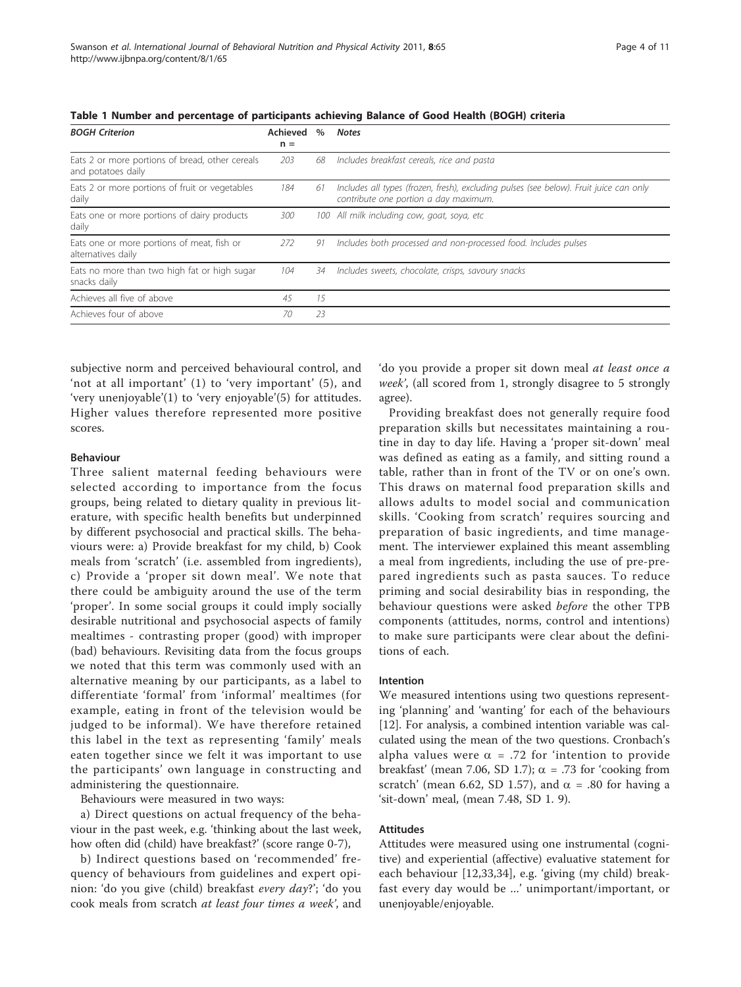| Achieved<br>$n =$ | $\%$ | <b>Notes</b>                                                                                                                    |
|-------------------|------|---------------------------------------------------------------------------------------------------------------------------------|
| 203               | 68   | Includes breakfast cereals, rice and pasta                                                                                      |
| 184               | 61   | Includes all types (frozen, fresh), excluding pulses (see below). Fruit juice can only<br>contribute one portion a day maximum. |
| 300               |      | 100 All milk including cow, goat, soya, etc                                                                                     |
| 272               | 91   | Includes both processed and non-processed food. Includes pulses                                                                 |
| 104               | 34   | Includes sweets, chocolate, crisps, savoury snacks                                                                              |
| 45                | 15   |                                                                                                                                 |
| 70                | 23   |                                                                                                                                 |
|                   |      |                                                                                                                                 |

<span id="page-3-0"></span>Table 1 Number and percentage of participants achieving Balance of Good Health (BOGH) criteria

subjective norm and perceived behavioural control, and 'not at all important' (1) to 'very important' (5), and 'very unenjoyable'(1) to 'very enjoyable'(5) for attitudes. Higher values therefore represented more positive scores.

#### Behaviour

Three salient maternal feeding behaviours were selected according to importance from the focus groups, being related to dietary quality in previous literature, with specific health benefits but underpinned by different psychosocial and practical skills. The behaviours were: a) Provide breakfast for my child, b) Cook meals from 'scratch' (i.e. assembled from ingredients), c) Provide a 'proper sit down meal'. We note that there could be ambiguity around the use of the term 'proper'. In some social groups it could imply socially desirable nutritional and psychosocial aspects of family mealtimes - contrasting proper (good) with improper (bad) behaviours. Revisiting data from the focus groups we noted that this term was commonly used with an alternative meaning by our participants, as a label to differentiate 'formal' from 'informal' mealtimes (for example, eating in front of the television would be judged to be informal). We have therefore retained this label in the text as representing 'family' meals eaten together since we felt it was important to use the participants' own language in constructing and administering the questionnaire.

Behaviours were measured in two ways:

a) Direct questions on actual frequency of the behaviour in the past week, e.g. 'thinking about the last week, how often did (child) have breakfast?' (score range 0-7),

b) Indirect questions based on 'recommended' frequency of behaviours from guidelines and expert opinion: 'do you give (child) breakfast every day?'; 'do you cook meals from scratch at least four times a week', and 'do you provide a proper sit down meal at least once a week', (all scored from 1, strongly disagree to 5 strongly agree).

Providing breakfast does not generally require food preparation skills but necessitates maintaining a routine in day to day life. Having a 'proper sit-down' meal was defined as eating as a family, and sitting round a table, rather than in front of the TV or on one's own. This draws on maternal food preparation skills and allows adults to model social and communication skills. 'Cooking from scratch' requires sourcing and preparation of basic ingredients, and time management. The interviewer explained this meant assembling a meal from ingredients, including the use of pre-prepared ingredients such as pasta sauces. To reduce priming and social desirability bias in responding, the behaviour questions were asked before the other TPB components (attitudes, norms, control and intentions) to make sure participants were clear about the definitions of each.

#### Intention

We measured intentions using two questions representing 'planning' and 'wanting' for each of the behaviours [[12\]](#page-9-0). For analysis, a combined intention variable was calculated using the mean of the two questions. Cronbach's alpha values were  $\alpha$  = .72 for 'intention to provide breakfast' (mean 7.06, SD 1.7);  $\alpha$  = .73 for 'cooking from scratch' (mean 6.62, SD 1.57), and  $\alpha$  = .80 for having a 'sit-down' meal, (mean 7.48, SD 1. 9).

#### Attitudes

Attitudes were measured using one instrumental (cognitive) and experiential (affective) evaluative statement for each behaviour [[12,](#page-9-0)[33,34](#page-10-0)], e.g. 'giving (my child) breakfast every day would be ...' unimportant/important, or unenjoyable/enjoyable.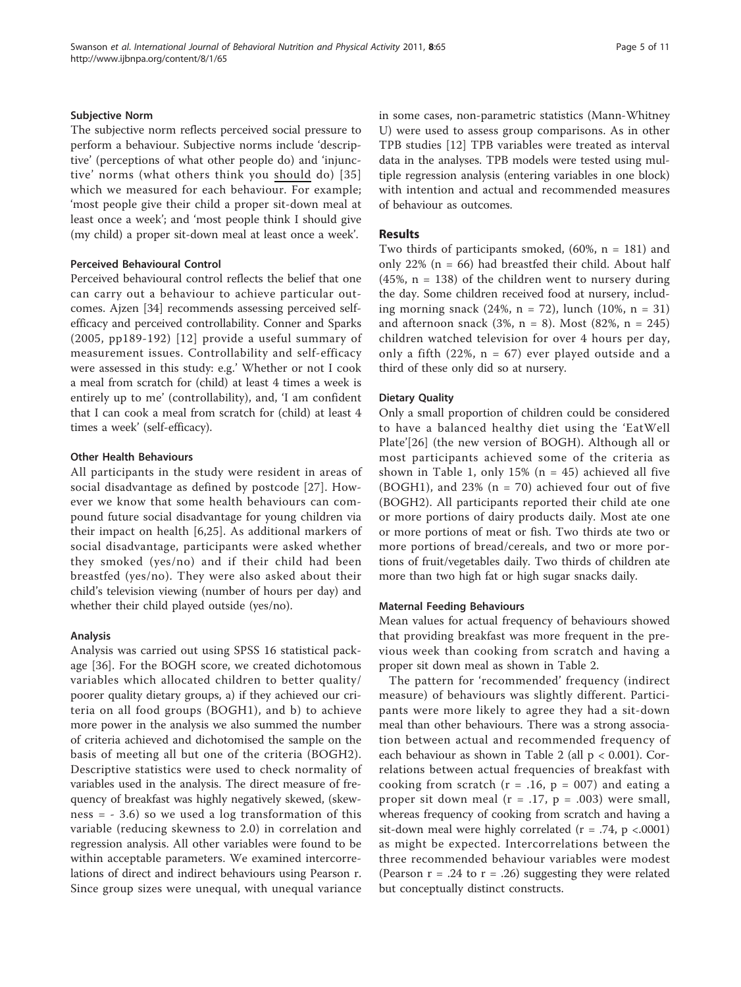# Subjective Norm

The subjective norm reflects perceived social pressure to perform a behaviour. Subjective norms include 'descriptive' (perceptions of what other people do) and 'injunctive' norms (what others think you should do) [[35](#page-10-0)] which we measured for each behaviour. For example; 'most people give their child a proper sit-down meal at least once a week'; and 'most people think I should give (my child) a proper sit-down meal at least once a week'.

# Perceived Behavioural Control

Perceived behavioural control reflects the belief that one can carry out a behaviour to achieve particular outcomes. Ajzen [\[34](#page-10-0)] recommends assessing perceived selfefficacy and perceived controllability. Conner and Sparks (2005, pp189-192) [[12\]](#page-9-0) provide a useful summary of measurement issues. Controllability and self-efficacy were assessed in this study: e.g.' Whether or not I cook a meal from scratch for (child) at least 4 times a week is entirely up to me' (controllability), and, 'I am confident that I can cook a meal from scratch for (child) at least 4 times a week' (self-efficacy).

# Other Health Behaviours

All participants in the study were resident in areas of social disadvantage as defined by postcode [\[27\]](#page-10-0). However we know that some health behaviours can compound future social disadvantage for young children via their impact on health [[6,](#page-9-0)[25](#page-10-0)]. As additional markers of social disadvantage, participants were asked whether they smoked (yes/no) and if their child had been breastfed (yes/no). They were also asked about their child's television viewing (number of hours per day) and whether their child played outside (yes/no).

# Analysis

Analysis was carried out using SPSS 16 statistical package [[36\]](#page-10-0). For the BOGH score, we created dichotomous variables which allocated children to better quality/ poorer quality dietary groups, a) if they achieved our criteria on all food groups (BOGH1), and b) to achieve more power in the analysis we also summed the number of criteria achieved and dichotomised the sample on the basis of meeting all but one of the criteria (BOGH2). Descriptive statistics were used to check normality of variables used in the analysis. The direct measure of frequency of breakfast was highly negatively skewed, (skewness  $= -3.6$ ) so we used a log transformation of this variable (reducing skewness to 2.0) in correlation and regression analysis. All other variables were found to be within acceptable parameters. We examined intercorrelations of direct and indirect behaviours using Pearson r. Since group sizes were unequal, with unequal variance

in some cases, non-parametric statistics (Mann-Whitney U) were used to assess group comparisons. As in other TPB studies [[12\]](#page-9-0) TPB variables were treated as interval data in the analyses. TPB models were tested using multiple regression analysis (entering variables in one block) with intention and actual and recommended measures of behaviour as outcomes.

# Results

Two thirds of participants smoked,  $(60\% , n = 181)$  and only 22% ( $n = 66$ ) had breastfed their child. About half  $(45\%, n = 138)$  of the children went to nursery during the day. Some children received food at nursery, including morning snack (24%, n = 72), lunch (10%, n = 31) and afternoon snack  $(3\%, n = 8)$ . Most  $(82\%, n = 245)$ children watched television for over 4 hours per day, only a fifth  $(22\%, n = 67)$  ever played outside and a third of these only did so at nursery.

# Dietary Quality

Only a small proportion of children could be considered to have a balanced healthy diet using the 'EatWell Plate'[[26](#page-10-0)] (the new version of BOGH). Although all or most participants achieved some of the criteria as shown in Table [1,](#page-3-0) only  $15\%$  (n = 45) achieved all five (BOGH1), and 23% ( $n = 70$ ) achieved four out of five (BOGH2). All participants reported their child ate one or more portions of dairy products daily. Most ate one or more portions of meat or fish. Two thirds ate two or more portions of bread/cereals, and two or more portions of fruit/vegetables daily. Two thirds of children ate more than two high fat or high sugar snacks daily.

# Maternal Feeding Behaviours

Mean values for actual frequency of behaviours showed that providing breakfast was more frequent in the previous week than cooking from scratch and having a proper sit down meal as shown in Table [2](#page-5-0).

The pattern for 'recommended' frequency (indirect measure) of behaviours was slightly different. Participants were more likely to agree they had a sit-down meal than other behaviours. There was a strong association between actual and recommended frequency of each behaviour as shown in Table [2](#page-5-0) (all p < 0.001). Correlations between actual frequencies of breakfast with cooking from scratch ( $r = .16$ ,  $p = 007$ ) and eating a proper sit down meal ( $r = .17$ ,  $p = .003$ ) were small, whereas frequency of cooking from scratch and having a sit-down meal were highly correlated  $(r = .74, p < .0001)$ as might be expected. Intercorrelations between the three recommended behaviour variables were modest (Pearson  $r = .24$  to  $r = .26$ ) suggesting they were related but conceptually distinct constructs.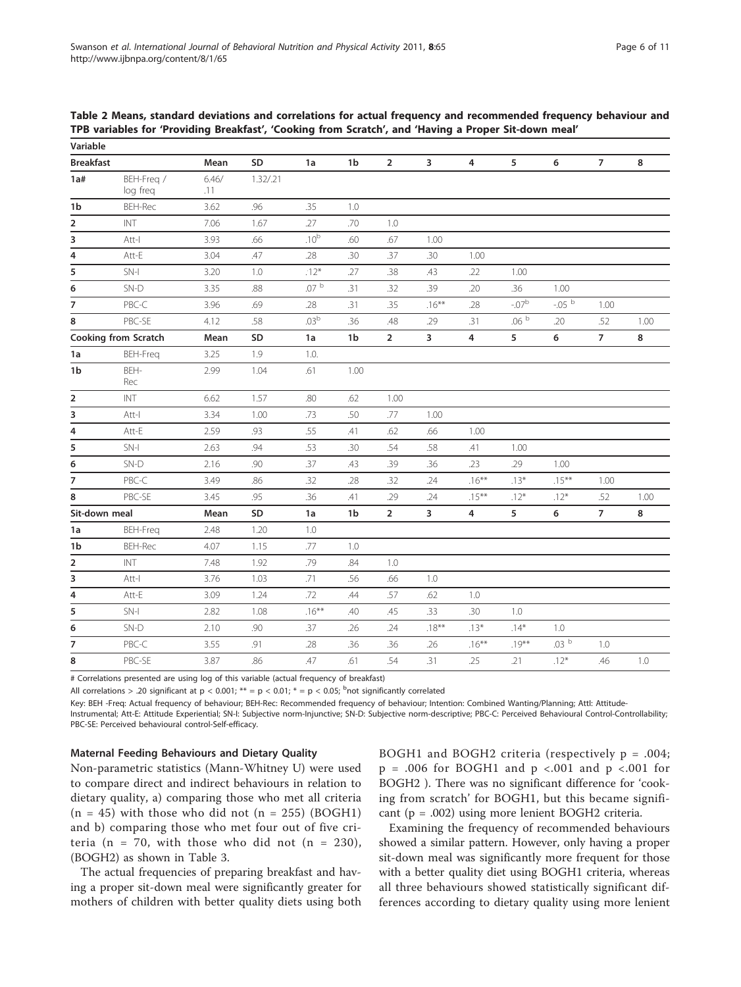| Variable         |                             |              |          |                  |                |                |                         |                |                  |                  |                |      |
|------------------|-----------------------------|--------------|----------|------------------|----------------|----------------|-------------------------|----------------|------------------|------------------|----------------|------|
| <b>Breakfast</b> |                             | Mean         | SD       | 1a               | 1 <sub>b</sub> | $\overline{2}$ | $\overline{\mathbf{3}}$ | $\overline{4}$ | 5                | 6                | $\overline{7}$ | 8    |
| 1a#              | BEH-Freq /<br>log freg      | 6.46/<br>.11 | 1.32/.21 |                  |                |                |                         |                |                  |                  |                |      |
| 1 <sub>b</sub>   | <b>BEH-Rec</b>              | 3.62         | .96      | .35              | 1.0            |                |                         |                |                  |                  |                |      |
| 2                | INT                         | 7.06         | 1.67     | .27              | .70            | 1.0            |                         |                |                  |                  |                |      |
| 3                | Att-I                       | 3.93         | .66      | .10 <sup>b</sup> | .60            | .67            | 1.00                    |                |                  |                  |                |      |
| 4                | Att-E                       | 3.04         | .47      | .28              | .30            | .37            | .30                     | 1.00           |                  |                  |                |      |
| 5                | $SN-I$                      | 3.20         | 1.0      | $:12*$           | .27            | .38            | .43                     | .22            | 1.00             |                  |                |      |
| 6                | SN-D                        | 3.35         | .88      | .07 <sup>b</sup> | .31            | .32            | .39                     | .20            | .36              | 1.00             |                |      |
| 7                | PBC-C                       | 3.96         | .69      | .28              | .31            | .35            | $.16***$                | .28            | $-07^{b}$        | $-0.05$ b        | 1.00           |      |
| 8                | PBC-SE                      | 4.12         | .58      | .03 <sup>b</sup> | .36            | .48            | .29                     | .31            | .06 <sup>b</sup> | .20              | .52            | 1.00 |
|                  | <b>Cooking from Scratch</b> | Mean         | SD       | 1a               | 1 <sub>b</sub> | $\overline{2}$ | 3                       | 4              | 5                | 6                | $\overline{7}$ | 8    |
| 1a               | <b>BEH-Freq</b>             | 3.25         | 1.9      | 1.0.             |                |                |                         |                |                  |                  |                |      |
| 1 <sub>b</sub>   | BEH-<br>Rec                 | 2.99         | 1.04     | .61              | 1.00           |                |                         |                |                  |                  |                |      |
| 2                | INT                         | 6.62         | 1.57     | .80              | .62            | 1.00           |                         |                |                  |                  |                |      |
| 3                | Att-I                       | 3.34         | 1.00     | .73              | .50            | .77            | 1.00                    |                |                  |                  |                |      |
| 4                | Att-E                       | 2.59         | .93      | .55              | .41            | .62            | .66                     | 1.00           |                  |                  |                |      |
| 5                | $SN-I$                      | 2.63         | .94      | .53              | .30            | .54            | .58                     | .41            | 1.00             |                  |                |      |
| 6                | SN-D                        | 2.16         | .90      | .37              | .43            | .39            | .36                     | .23            | .29              | 1.00             |                |      |
| 7                | PBC-C                       | 3.49         | .86      | .32              | .28            | .32            | .24                     | $.16***$       | $.13*$           | $.15***$         | 1.00           |      |
| 8                | PBC-SE                      | 3.45         | .95      | .36              | .41            | .29            | .24                     | $.15***$       | $.12*$           | $.12*$           | .52            | 1.00 |
| Sit-down meal    |                             | Mean         | SD       | 1a               | 1 <sub>b</sub> | $\overline{2}$ | 3                       | 4              | 5                | 6                | $\overline{7}$ | 8    |
| 1a               | <b>BEH-Freq</b>             | 2.48         | 1.20     | 1.0              |                |                |                         |                |                  |                  |                |      |
| 1 <sub>b</sub>   | <b>BEH-Rec</b>              | 4.07         | 1.15     | .77              | 1.0            |                |                         |                |                  |                  |                |      |
| 2                | INT                         | 7.48         | 1.92     | .79              | .84            | 1.0            |                         |                |                  |                  |                |      |
| 3                | Att-I                       | 3.76         | 1.03     | .71              | .56            | .66            | 1.0                     |                |                  |                  |                |      |
| 4                | Att-E                       | 3.09         | 1.24     | .72              | .44            | .57            | .62                     | 1.0            |                  |                  |                |      |
| 5                | $SN-I$                      | 2.82         | 1.08     | $.16***$         | $40^{1}$       | .45            | .33                     | .30            | 1.0              |                  |                |      |
| 6                | SN-D                        | 2.10         | .90      | .37              | .26            | .24            | $.18***$                | $.13*$         | $.14*$           | 1.0              |                |      |
| 7                | PBC-C                       | 3.55         | .91      | .28              | .36            | .36            | .26                     | $.16***$       | $.19***$         | .03 <sup>b</sup> | 1.0            |      |
| 8                | PBC-SE                      | 3.87         | .86      | .47              | .61            | .54            | .31                     | .25            | .21              | $.12*$           | .46            | 1.0  |

<span id="page-5-0"></span>Table 2 Means, standard deviations and correlations for actual frequency and recommended frequency behaviour and TPB variables for 'Providing Breakfast', 'Cooking from Scratch', and 'Having a Proper Sit-down meal'

# Correlations presented are using log of this variable (actual frequency of breakfast)

All correlations > .20 significant at  $p < 0.001$ ;  $** = p < 0.01$ ;  $* = p < 0.05$ ; <sup>b</sup>not significantly correlated

Key: BEH -Freq: Actual frequency of behaviour; BEH-Rec: Recommended frequency of behaviour; Intention: Combined Wanting/Planning; AttI: Attitude-

Instrumental; Att-E: Attitude Experiential; SN-I: Subjective norm-Injunctive; SN-D: Subjective norm-descriptive; PBC-C: Perceived Behavioural Control-Controllability; PBC-SE: Perceived behavioural control-Self-efficacy.

# Maternal Feeding Behaviours and Dietary Quality

Non-parametric statistics (Mann-Whitney U) were used to compare direct and indirect behaviours in relation to dietary quality, a) comparing those who met all criteria  $(n = 45)$  with those who did not  $(n = 255)$  (BOGH1) and b) comparing those who met four out of five criteria (n = 70, with those who did not (n = 230), (BOGH2) as shown in Table [3](#page-6-0).

The actual frequencies of preparing breakfast and having a proper sit-down meal were significantly greater for mothers of children with better quality diets using both BOGH1 and BOGH2 criteria (respectively  $p = .004$ ;  $p = .006$  for BOGH1 and  $p < .001$  and  $p < .001$  for BOGH2 ). There was no significant difference for 'cooking from scratch' for BOGH1, but this became significant (p = .002) using more lenient BOGH2 criteria.

Examining the frequency of recommended behaviours showed a similar pattern. However, only having a proper sit-down meal was significantly more frequent for those with a better quality diet using BOGH1 criteria, whereas all three behaviours showed statistically significant differences according to dietary quality using more lenient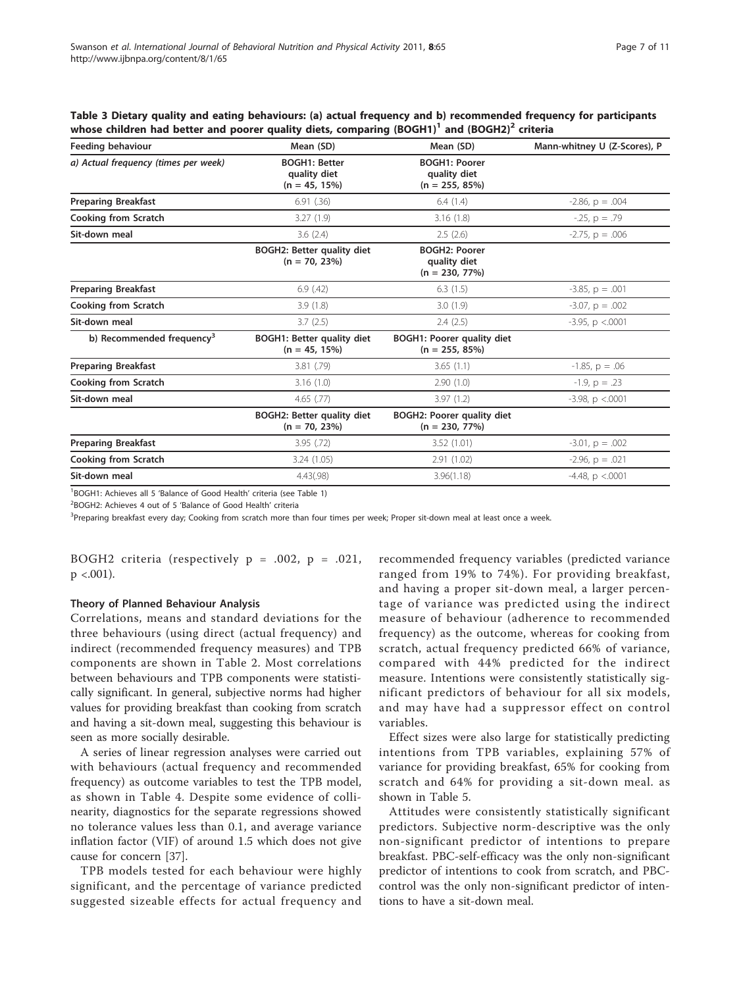<span id="page-6-0"></span>

| Table 3 Dietary quality and eating behaviours: (a) actual frequency and b) recommended frequency for participants |  |
|-------------------------------------------------------------------------------------------------------------------|--|
| whose children had better and poorer quality diets, comparing $(BOGH1)^1$ and $(BOGH2)^2$ criteria                |  |

| Mean (SD)                                                | Mean (SD)                                                 | Mann-whitney U (Z-Scores), P |
|----------------------------------------------------------|-----------------------------------------------------------|------------------------------|
| <b>BOGH1: Better</b><br>quality diet<br>$(n = 45, 15\%)$ | <b>BOGH1: Poorer</b><br>quality diet<br>$(n = 255, 85\%)$ |                              |
| 6.91(.36)                                                | 6.4(1.4)                                                  | $-2.86$ , $p = .004$         |
| 3.27(1.9)                                                | 3.16(1.8)                                                 | $-25$ , $p = 0.79$           |
| 3.6(2.4)                                                 | 2.5(2.6)                                                  | $-2.75$ , $p = .006$         |
| <b>BOGH2: Better quality diet</b><br>$(n = 70, 23\%)$    | <b>BOGH2: Poorer</b><br>quality diet<br>$(n = 230, 77\%)$ |                              |
| 6.9(42)                                                  | 6.3(1.5)                                                  | $-3.85$ , $p = .001$         |
| 3.9(1.8)                                                 | 3.0(1.9)                                                  | $-3.07$ , $p = .002$         |
| 3.7(2.5)                                                 | 2.4(2.5)                                                  | $-3.95$ , $p < 0001$         |
| BOGH1: Better quality diet<br>$(n = 45, 15\%)$           | <b>BOGH1: Poorer quality diet</b><br>$(n = 255, 85\%)$    |                              |
| $3.81$ (.79)                                             | 3.65(1.1)                                                 | $-1.85$ , $p = .06$          |
| 3.16(1.0)                                                | 2.90(1.0)                                                 | $-1.9$ , $p = .23$           |
| $4.65$ (.77)                                             | 3.97(1.2)                                                 | $-3.98$ , $p < 0001$         |
| BOGH2: Better quality diet<br>$(n = 70, 23\%)$           | BOGH2: Poorer quality diet<br>$(n = 230, 77\%)$           |                              |
| $3.95$ $(.72)$                                           | 3.52(1.01)                                                | $-3.01$ , $p = .002$         |
| 3.24 (1.05)                                              | 2.91(1.02)                                                | $-2.96$ , $p = .021$         |
| 4.43(.98)                                                | 3.96(1.18)                                                | $-4.48$ , $p < 0001$         |
|                                                          |                                                           |                              |

<sup>1</sup>BOGH1: Achieves all 5 'Balance of Good Health' criteria (see Table 1)

<sup>2</sup>BOGH2: Achieves 4 out of 5 'Balance of Good Health' criteria

<sup>3</sup>Preparing breakfast every day; Cooking from scratch more than four times per week; Proper sit-down meal at least once a week.

BOGH2 criteria (respectively  $p = .002$ ,  $p = .021$ ,  $p$  <.001).

# Theory of Planned Behaviour Analysis

Correlations, means and standard deviations for the three behaviours (using direct (actual frequency) and indirect (recommended frequency measures) and TPB components are shown in Table [2](#page-5-0). Most correlations between behaviours and TPB components were statistically significant. In general, subjective norms had higher values for providing breakfast than cooking from scratch and having a sit-down meal, suggesting this behaviour is seen as more socially desirable.

A series of linear regression analyses were carried out with behaviours (actual frequency and recommended frequency) as outcome variables to test the TPB model, as shown in Table [4](#page-7-0). Despite some evidence of collinearity, diagnostics for the separate regressions showed no tolerance values less than 0.1, and average variance inflation factor (VIF) of around 1.5 which does not give cause for concern [[37\]](#page-10-0).

TPB models tested for each behaviour were highly significant, and the percentage of variance predicted suggested sizeable effects for actual frequency and

recommended frequency variables (predicted variance ranged from 19% to 74%). For providing breakfast, and having a proper sit-down meal, a larger percentage of variance was predicted using the indirect measure of behaviour (adherence to recommended frequency) as the outcome, whereas for cooking from scratch, actual frequency predicted 66% of variance, compared with 44% predicted for the indirect measure. Intentions were consistently statistically significant predictors of behaviour for all six models, and may have had a suppressor effect on control variables.

Effect sizes were also large for statistically predicting intentions from TPB variables, explaining 57% of variance for providing breakfast, 65% for cooking from scratch and 64% for providing a sit-down meal. as shown in Table [5](#page-7-0).

Attitudes were consistently statistically significant predictors. Subjective norm-descriptive was the only non-significant predictor of intentions to prepare breakfast. PBC-self-efficacy was the only non-significant predictor of intentions to cook from scratch, and PBCcontrol was the only non-significant predictor of intentions to have a sit-down meal.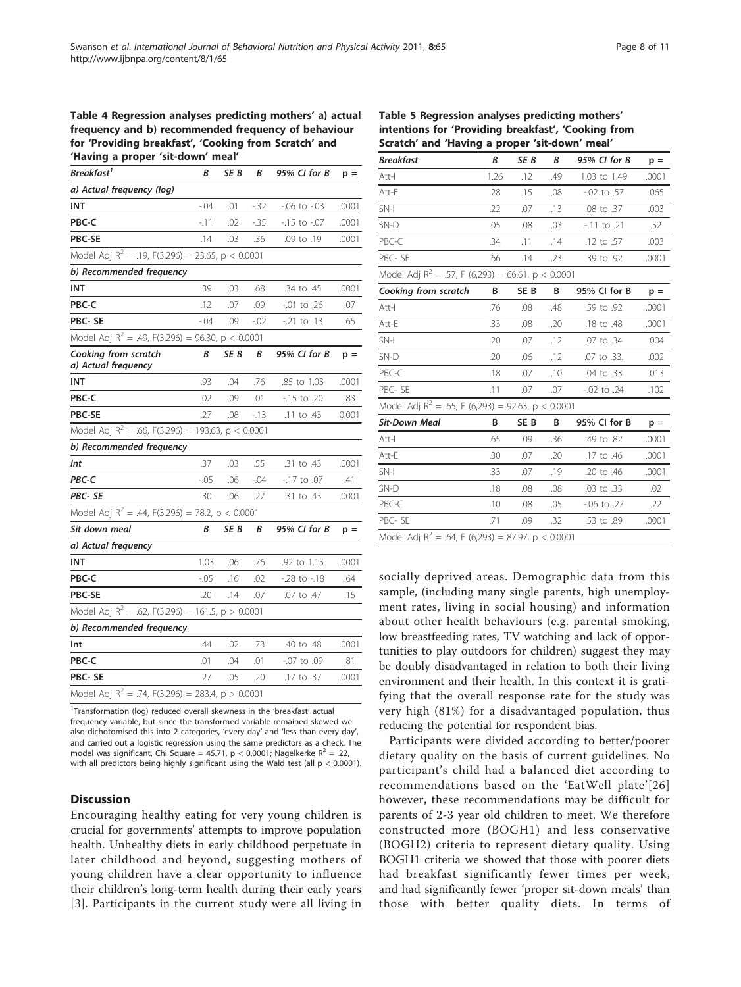<span id="page-7-0"></span>

| Breakfast <sup>1</sup>                                | B       | SE <sub>B</sub> | B      | 95% CI for B       | $p =$ |
|-------------------------------------------------------|---------|-----------------|--------|--------------------|-------|
| a) Actual frequency (log)                             |         |                 |        |                    |       |
| <b>INT</b>                                            | $-0.04$ | .01             | $-32$  | $-0.06$ to $-0.03$ | .0001 |
| PBC-C                                                 | $-111$  | .02             | $-35$  | $-15$ to $-07$     | .0001 |
| PBC-SE                                                | .14     | .03             | .36    | .09 to .19         | .0001 |
| Model Adj $R^2 = .19$ , F(3,296) = 23.65, p < 0.0001  |         |                 |        |                    |       |
| b) Recommended frequency                              |         |                 |        |                    |       |
| <b>INT</b>                                            | .39     | .03             | .68    | .34 to .45         | .0001 |
| PBC-C                                                 | .12     | .07             | .09    | $-01$ to $.26$     | .07   |
| <b>PBC-SE</b>                                         | $-0.04$ | .09             | -.02   | $-21$ to $.13$     | .65   |
| Model Adj $R^2 = .49$ , F(3,296) = 96.30, p < 0.0001  |         |                 |        |                    |       |
| Cooking from scratch<br>a) Actual freguency           | В       | SE B            | В      | 95% CI for B       | $p =$ |
| <b>INT</b>                                            | .93     | .04             | .76    | .85 to 1.03        | .0001 |
| PBC-C                                                 | .02     | .09             | .01    | $-.15$ to $.20$    | .83   |
| <b>PBC-SE</b>                                         | .27     | .08             | $-13$  | .11 to .43         | 0.001 |
| Model Adj $R^2 = .66$ , F(3,296) = 193.63, p < 0.0001 |         |                 |        |                    |       |
| b) Recommended frequency                              |         |                 |        |                    |       |
| Int                                                   | .37     | .03             | .55    | .31 to .43         | .0001 |
| PBC-C                                                 | -.05    | .06             | $-.04$ | -.17 to .07        | .41   |
| PBC-SE                                                | .30     | .06             | .27    | .31 to .43         | .0001 |
| Model Adj $R^2 = .44$ , F(3,296) = 78.2, p < 0.0001   |         |                 |        |                    |       |
| Sit down meal                                         | В       | SE B            | В      | 95% CI for B       | $p =$ |
| a) Actual frequency                                   |         |                 |        |                    |       |
| <b>INT</b>                                            | 1.03    | .06             | .76    | .92 to 1.15        | .0001 |
| PBC-C                                                 | -.05    | .16             | .02    | $-28$ to $-18$     | .64   |
| PBC-SE                                                | .20     | .14             | .07    | .07 to .47         | .15   |
| Model Adj $R^2 = .62$ , F(3,296) = 161.5, p > 0.0001  |         |                 |        |                    |       |
| b) Recommended frequency                              |         |                 |        |                    |       |
| Int                                                   | .44     | .02             | .73    | .40 to .48         | .0001 |
| PBC-C                                                 | .01     | .04             | .01    | -.07 to .09        | .81   |
| <b>PBC-SE</b>                                         | .27     | .05             | .20    | .17 to .37         | .0001 |
| Model Adj $R^2 = .74$ , F(3,296) = 283.4, p > 0.0001  |         |                 |        |                    |       |

<sup>1</sup>Transformation (log) reduced overall skewness in the 'breakfast' actual frequency variable, but since the transformed variable remained skewed we also dichotomised this into 2 categories, 'every day' and 'less than every day', and carried out a logistic regression using the same predictors as a check. The model was significant, Chi Square = 45.71,  $p < 0.0001$ ; Nagelkerke R<sup>2</sup> = .22, with all predictors being highly significant using the Wald test (all  $p < 0.0001$ ).

# **Discussion**

Encouraging healthy eating for very young children is crucial for governments' attempts to improve population health. Unhealthy diets in early childhood perpetuate in later childhood and beyond, suggesting mothers of young children have a clear opportunity to influence their children's long-term health during their early years [[3](#page-9-0)]. Participants in the current study were all living in

| Table 5 Regression analyses predicting mothers'     |
|-----------------------------------------------------|
| intentions for 'Providing breakfast', 'Cooking from |
| Scratch' and 'Having a proper 'sit-down' meal'      |

| <b>Breakfast</b>                                      | B    | SE B            | В   | 95% CI for B     | $p =$ |
|-------------------------------------------------------|------|-----------------|-----|------------------|-------|
| Att-I                                                 | 1.26 | .12             | .49 | 1.03 to 1.49     | .0001 |
| Att-E                                                 | .28  | .15             | .08 | $-0.02$ to $.57$ | .065  |
| $SN-I$                                                | .22  | .07             | .13 | .08 to .37       | .003  |
| SN-D                                                  | .05  | .08             | .03 | $-11$ to $.21$   | .52   |
| PBC-C                                                 | .34  | .11             | .14 | .12 to .57       | .003  |
| PBC-SE                                                | .66  | .14             | .23 | .39 to .92       | .0001 |
| Model Adj $R^2 = .57$ , F (6,293) = 66.61, p < 0.0001 |      |                 |     |                  |       |
| Cooking from scratch                                  | В    | SE <sub>B</sub> | В   | 95% CI for B     | $p =$ |
| Att-I                                                 | .76  | .08             | .48 | .59 to .92       | .0001 |
| Att-E                                                 | .33  | .08             | .20 | .18 to .48       | .0001 |
| $SN-I$                                                | .20  | .07             | .12 | .07 to .34       | .004  |
| SN-D                                                  | .20  | .06             | .12 | .07 to .33.      | .002  |
| PBC-C                                                 | .18  | .07             | .10 | .04 to .33       | .013  |
| PBC-SE                                                | .11  | .07             | .07 | $-0.02$ to $.24$ | .102  |
| Model Adj $R^2 = .65$ , F (6,293) = 92.63, p < 0.0001 |      |                 |     |                  |       |
| <b>Sit-Down Meal</b>                                  | B    | SE <sub>B</sub> | В   | 95% CI for B     | $p =$ |
| Att-I                                                 | .65  | .09             | .36 | .49 to .82       | .0001 |
| Att-E                                                 | .30  | .07             | .20 | .17 to .46       | .0001 |
| SN-I                                                  | .33  | .07             | .19 | .20 to .46       | .0001 |
| SN-D                                                  | .18  | .08             | .08 | .03 to .33       | .02   |
| PBC-C                                                 | .10  | .08             | .05 | $-06$ to $.27$   | .22   |
| PBC-SE                                                | .71  | .09             | .32 | .53 to .89       | .0001 |
| Model Adj $R^2 = .64$ , F (6,293) = 87.97, p < 0.0001 |      |                 |     |                  |       |

socially deprived areas. Demographic data from this sample, (including many single parents, high unemployment rates, living in social housing) and information about other health behaviours (e.g. parental smoking, low breastfeeding rates, TV watching and lack of opportunities to play outdoors for children) suggest they may be doubly disadvantaged in relation to both their living environment and their health. In this context it is gratifying that the overall response rate for the study was very high (81%) for a disadvantaged population, thus reducing the potential for respondent bias.

Participants were divided according to better/poorer dietary quality on the basis of current guidelines. No participant's child had a balanced diet according to recommendations based on the 'EatWell plate'[[26](#page-10-0)] however, these recommendations may be difficult for parents of 2-3 year old children to meet. We therefore constructed more (BOGH1) and less conservative (BOGH2) criteria to represent dietary quality. Using BOGH1 criteria we showed that those with poorer diets had breakfast significantly fewer times per week, and had significantly fewer 'proper sit-down meals' than those with better quality diets. In terms of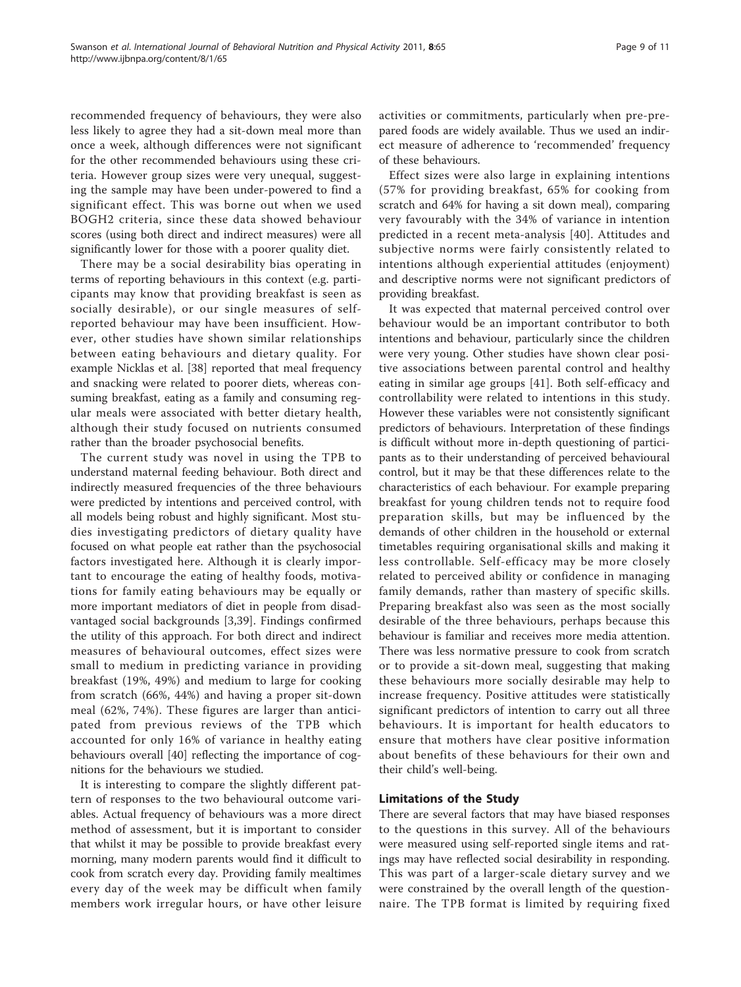recommended frequency of behaviours, they were also less likely to agree they had a sit-down meal more than once a week, although differences were not significant for the other recommended behaviours using these criteria. However group sizes were very unequal, suggesting the sample may have been under-powered to find a significant effect. This was borne out when we used BOGH2 criteria, since these data showed behaviour scores (using both direct and indirect measures) were all significantly lower for those with a poorer quality diet.

There may be a social desirability bias operating in terms of reporting behaviours in this context (e.g. participants may know that providing breakfast is seen as socially desirable), or our single measures of selfreported behaviour may have been insufficient. However, other studies have shown similar relationships between eating behaviours and dietary quality. For example Nicklas et al. [[38\]](#page-10-0) reported that meal frequency and snacking were related to poorer diets, whereas consuming breakfast, eating as a family and consuming regular meals were associated with better dietary health, although their study focused on nutrients consumed rather than the broader psychosocial benefits.

The current study was novel in using the TPB to understand maternal feeding behaviour. Both direct and indirectly measured frequencies of the three behaviours were predicted by intentions and perceived control, with all models being robust and highly significant. Most studies investigating predictors of dietary quality have focused on what people eat rather than the psychosocial factors investigated here. Although it is clearly important to encourage the eating of healthy foods, motivations for family eating behaviours may be equally or more important mediators of diet in people from disadvantaged social backgrounds [\[3](#page-9-0)[,39](#page-10-0)]. Findings confirmed the utility of this approach. For both direct and indirect measures of behavioural outcomes, effect sizes were small to medium in predicting variance in providing breakfast (19%, 49%) and medium to large for cooking from scratch (66%, 44%) and having a proper sit-down meal (62%, 74%). These figures are larger than anticipated from previous reviews of the TPB which accounted for only 16% of variance in healthy eating behaviours overall [[40\]](#page-10-0) reflecting the importance of cognitions for the behaviours we studied.

It is interesting to compare the slightly different pattern of responses to the two behavioural outcome variables. Actual frequency of behaviours was a more direct method of assessment, but it is important to consider that whilst it may be possible to provide breakfast every morning, many modern parents would find it difficult to cook from scratch every day. Providing family mealtimes every day of the week may be difficult when family members work irregular hours, or have other leisure activities or commitments, particularly when pre-prepared foods are widely available. Thus we used an indirect measure of adherence to 'recommended' frequency of these behaviours.

Effect sizes were also large in explaining intentions (57% for providing breakfast, 65% for cooking from scratch and 64% for having a sit down meal), comparing very favourably with the 34% of variance in intention predicted in a recent meta-analysis [\[40\]](#page-10-0). Attitudes and subjective norms were fairly consistently related to intentions although experiential attitudes (enjoyment) and descriptive norms were not significant predictors of providing breakfast.

It was expected that maternal perceived control over behaviour would be an important contributor to both intentions and behaviour, particularly since the children were very young. Other studies have shown clear positive associations between parental control and healthy eating in similar age groups [[41](#page-10-0)]. Both self-efficacy and controllability were related to intentions in this study. However these variables were not consistently significant predictors of behaviours. Interpretation of these findings is difficult without more in-depth questioning of participants as to their understanding of perceived behavioural control, but it may be that these differences relate to the characteristics of each behaviour. For example preparing breakfast for young children tends not to require food preparation skills, but may be influenced by the demands of other children in the household or external timetables requiring organisational skills and making it less controllable. Self-efficacy may be more closely related to perceived ability or confidence in managing family demands, rather than mastery of specific skills. Preparing breakfast also was seen as the most socially desirable of the three behaviours, perhaps because this behaviour is familiar and receives more media attention. There was less normative pressure to cook from scratch or to provide a sit-down meal, suggesting that making these behaviours more socially desirable may help to increase frequency. Positive attitudes were statistically significant predictors of intention to carry out all three behaviours. It is important for health educators to ensure that mothers have clear positive information about benefits of these behaviours for their own and their child's well-being.

# Limitations of the Study

There are several factors that may have biased responses to the questions in this survey. All of the behaviours were measured using self-reported single items and ratings may have reflected social desirability in responding. This was part of a larger-scale dietary survey and we were constrained by the overall length of the questionnaire. The TPB format is limited by requiring fixed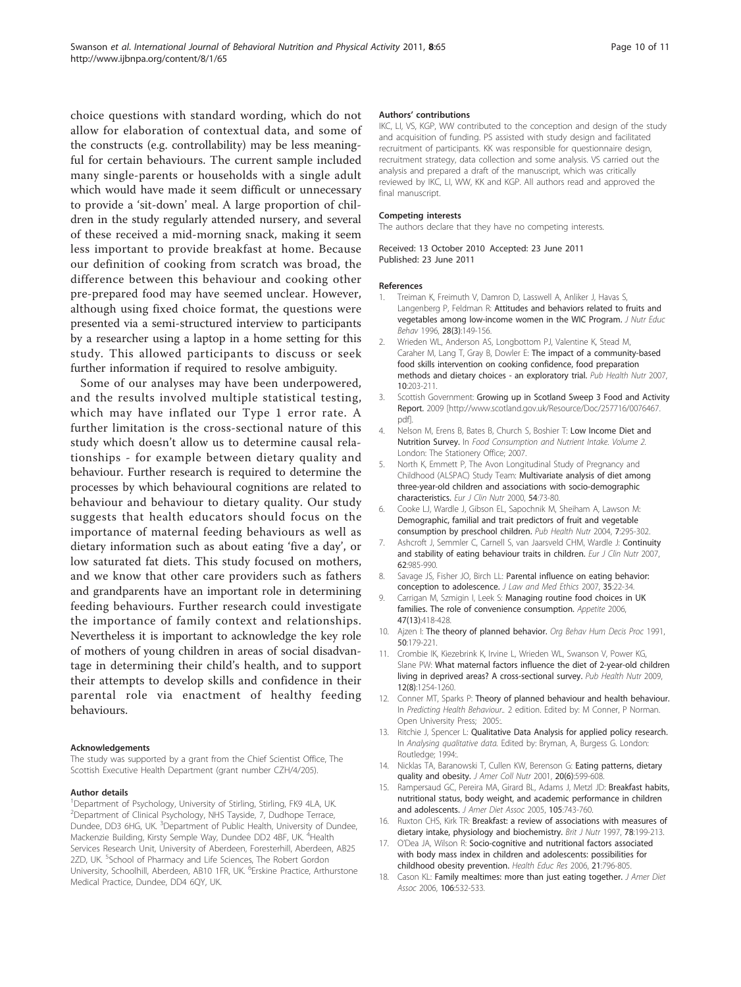<span id="page-9-0"></span>choice questions with standard wording, which do not allow for elaboration of contextual data, and some of the constructs (e.g. controllability) may be less meaningful for certain behaviours. The current sample included many single-parents or households with a single adult which would have made it seem difficult or unnecessary to provide a 'sit-down' meal. A large proportion of children in the study regularly attended nursery, and several of these received a mid-morning snack, making it seem less important to provide breakfast at home. Because our definition of cooking from scratch was broad, the difference between this behaviour and cooking other pre-prepared food may have seemed unclear. However, although using fixed choice format, the questions were presented via a semi-structured interview to participants by a researcher using a laptop in a home setting for this study. This allowed participants to discuss or seek further information if required to resolve ambiguity.

Some of our analyses may have been underpowered, and the results involved multiple statistical testing, which may have inflated our Type 1 error rate. A further limitation is the cross-sectional nature of this study which doesn't allow us to determine causal relationships - for example between dietary quality and behaviour. Further research is required to determine the processes by which behavioural cognitions are related to behaviour and behaviour to dietary quality. Our study suggests that health educators should focus on the importance of maternal feeding behaviours as well as dietary information such as about eating 'five a day', or low saturated fat diets. This study focused on mothers, and we know that other care providers such as fathers and grandparents have an important role in determining feeding behaviours. Further research could investigate the importance of family context and relationships. Nevertheless it is important to acknowledge the key role of mothers of young children in areas of social disadvantage in determining their child's health, and to support their attempts to develop skills and confidence in their parental role via enactment of healthy feeding behaviours.

#### Acknowledgements

The study was supported by a grant from the Chief Scientist Office, The Scottish Executive Health Department (grant number CZH/4/205).

#### Author details

<sup>1</sup>Department of Psychology, University of Stirling, Stirling, FK9 4LA, UK. <sup>2</sup> Department of Clinical Psychology, NHS Tayside, 7, Dudhope Terrace, Dundee, DD3 6HG, UK. <sup>3</sup>Department of Public Health, University of Dundee, Mackenzie Building, Kirsty Semple Way, Dundee DD2 4BF, UK. <sup>4</sup>Health Services Research Unit, University of Aberdeen, Foresterhill, Aberdeen, AB25 2ZD, UK. <sup>5</sup>School of Pharmacy and Life Sciences, The Robert Gordon University, Schoolhill, Aberdeen, AB10 1FR, UK. <sup>6</sup>Erskine Practice, Arthurstone Medical Practice, Dundee, DD4 6QY, UK.

#### Authors' contributions

IKC, LI, VS, KGP, WW contributed to the conception and design of the study and acquisition of funding. PS assisted with study design and facilitated recruitment of participants. KK was responsible for questionnaire design, recruitment strategy, data collection and some analysis. VS carried out the analysis and prepared a draft of the manuscript, which was critically reviewed by IKC, LI, WW, KK and KGP. All authors read and approved the final manuscript.

#### Competing interests

The authors declare that they have no competing interests.

Received: 13 October 2010 Accepted: 23 June 2011 Published: 23 June 2011

#### References

- 1. Treiman K, Freimuth V, Damron D, Lasswell A, Anliker J, Havas S, Langenberg P, Feldman R: Attitudes and behaviors related to fruits and vegetables among low-income women in the WIC Program. J Nutr Educ Behav 1996, 28(3):149-156.
- 2. Wrieden WL, Anderson AS, Longbottom PJ, Valentine K, Stead M, Caraher M, Lang T, Gray B, Dowler E: The impact of a community-based food skills intervention on cooking confidence, food preparation methods and dietary choices - an exploratory trial. Pub Health Nutr 2007, 10:203-211.
- 3. Scottish Government: Growing up in Scotland Sweep 3 Food and Activity Report. 2009 [[http://www.scotland.gov.uk/Resource/Doc/257716/0076467.](http://www.scotland.gov.uk/Resource/Doc/257716/0076467.pdf) [pdf](http://www.scotland.gov.uk/Resource/Doc/257716/0076467.pdf)].
- 4. Nelson M, Erens B, Bates B, Church S, Boshier T: Low Income Diet and Nutrition Survey. In Food Consumption and Nutrient Intake. Volume 2. London: The Stationery Office; 2007.
- 5. North K, Emmett P, The Avon Longitudinal Study of Pregnancy and Childhood (ALSPAC) Study Team: [Multivariate analysis of diet among](http://www.ncbi.nlm.nih.gov/pubmed/10696149?dopt=Abstract) [three-year-old children and associations with socio-demographic](http://www.ncbi.nlm.nih.gov/pubmed/10696149?dopt=Abstract) [characteristics.](http://www.ncbi.nlm.nih.gov/pubmed/10696149?dopt=Abstract) Eur J Clin Nutr 2000, 54:73-80.
- Cooke LJ, Wardle J, Gibson EL, Sapochnik M, Sheiham A, Lawson M: Demographic, familial and trait predictors of fruit and vegetable consumption by preschool children. Pub Health Nutr 2004, 7:295-302.
- 7. Ashcroft J, Semmler C, Carnell S, van Jaarsveld CHM, Wardle J: [Continuity](http://www.ncbi.nlm.nih.gov/pubmed/17684526?dopt=Abstract) [and stability of eating behaviour traits in children.](http://www.ncbi.nlm.nih.gov/pubmed/17684526?dopt=Abstract) Eur J Clin Nutr 2007, 62:985-990.
- 8. Savage JS, Fisher JO, Birch LL: Parental influence on eating behavior: conception to adolescence. *J Law and Med Ethics 2007*, 35:22-34.
- Carrigan M, Szmigin I, Leek S: Managing routine food choices in UK families. The role of convenience consumption. Appetite 2006, 47(13):418-428.
- 10. Ajzen I: The theory of planned behavior. Org Behav Hum Decis Proc 1991, 50:179-221.
- 11. Crombie IK, Kiezebrink K, Irvine L, Wrieden WL, Swanson V, Power KG, Slane PW: What maternal factors influence the diet of 2-year-old children living in deprived areas? A cross-sectional survey. Pub Health Nutr 2009, 12(8):1254-1260.
- 12. Conner MT, Sparks P: Theory of planned behaviour and health behaviour. In Predicting Health Behaviour.. 2 edition. Edited by: M Conner, P Norman. Open University Press; 2005:.
- 13. Ritchie J, Spencer L: Qualitative Data Analysis for applied policy research. In Analysing qualitative data. Edited by: Bryman, A, Burgess G. London: Routledge; 1994:.
- 14. Nicklas TA, Baranowski T, Cullen KW, Berenson G: Eating patterns, dietary quality and obesity. J Amer Coll Nutr 2001, 20(6):599-608.
- 15. Rampersaud GC, Pereira MA, Girard BL, Adams J, Metzl JD: Breakfast habits, nutritional status, body weight, and academic performance in children and adolescents. J Amer Diet Assoc 2005, 105:743-760.
- 16. Ruxton CHS, Kirk TR: [Breakfast: a review of associations with measures of](http://www.ncbi.nlm.nih.gov/pubmed/9301411?dopt=Abstract) [dietary intake, physiology and biochemistry.](http://www.ncbi.nlm.nih.gov/pubmed/9301411?dopt=Abstract) Brit J Nutr 1997, 78:199-213.
- 17. O'Dea JA, Wilson R: [Socio-cognitive and nutritional factors associated](http://www.ncbi.nlm.nih.gov/pubmed/17095571?dopt=Abstract) [with body mass index in children and adolescents: possibilities for](http://www.ncbi.nlm.nih.gov/pubmed/17095571?dopt=Abstract) [childhood obesity prevention.](http://www.ncbi.nlm.nih.gov/pubmed/17095571?dopt=Abstract) Health Educ Res 2006, 21:796-805.
- 18. Cason KL: Family mealtimes: more than just eating together. J Amer Diet Assoc 2006, 106:532-533.